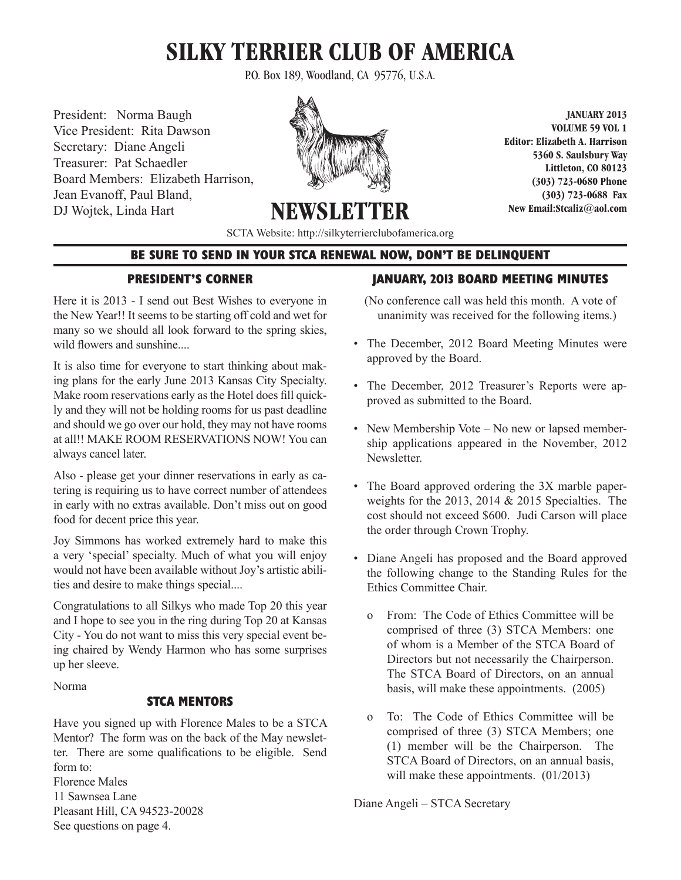# **SILKY TERRIER CLUB OF AMERICA**

P.O. Box 189, Woodland, CA 95776, U.S.A.

President: Norma Baugh Vice President: Rita Dawson Secretary: Diane Angeli Treasurer: Pat Schaedler Board Members: Elizabeth Harrison, Jean Evanoff, Paul Bland, DJ Wojtek, Linda Hart



**JANUARY 2013 VOLUME 59 VOL 1 Editor: Elizabeth A. Harrison 5360 S. Saulsbury Way Littleton, CO 80123 (303) 723-0680 Phone (303) 723-0688 Fax New Email:Stcaliz@aol.com** 

**NEWSLETT** SCTA Website: http://silkyterrierclubofamerica.org

# **BE SURE TO SEND IN YOUR STCA RENEWAL NOW, DON'T BE DELINQUENT**

## **PRESIDENT'S CORNER**

Here it is 2013 - I send out Best Wishes to everyone in the New Year!! It seems to be starting off cold and wet for many so we should all look forward to the spring skies, wild flowers and sunshine....

It is also time for everyone to start thinking about making plans for the early June 2013 Kansas City Specialty. Make room reservations early as the Hotel does fill quickly and they will not be holding rooms for us past deadline and should we go over our hold, they may not have rooms at all!! MAKE ROOM RESERVATIONS NOW! You can always cancel later.

Also - please get your dinner reservations in early as catering is requiring us to have correct number of attendees in early with no extras available. Don't miss out on good food for decent price this year.

Joy Simmons has worked extremely hard to make this a very 'special' specialty. Much of what you will enjoy would not have been available without Joy's artistic abilities and desire to make things special....

Congratulations to all Silkys who made Top 20 this year and I hope to see you in the ring during Top 20 at Kansas City - You do not want to miss this very special event being chaired by Wendy Harmon who has some surprises up her sleeve.

Norma

# **STCA MENTORS**

Have you signed up with Florence Males to be a STCA Mentor? The form was on the back of the May newsletter. There are some qualifications to be eligible. Send form to:

Florence Males 11 Sawnsea Lane Pleasant Hill, CA 94523-20028 See questions on page 4.

# **JANUARY, 2013 BOARD MEETING MINUTES**

(No conference call was held this month. A vote of unanimity was received for the following items.)

- The December, 2012 Board Meeting Minutes were approved by the Board.
- The December, 2012 Treasurer's Reports were approved as submitted to the Board.
- New Membership Vote No new or lapsed membership applications appeared in the November, 2012 Newsletter.
- The Board approved ordering the 3X marble paperweights for the 2013, 2014  $&$  2015 Specialties. The cost should not exceed \$600. Judi Carson will place the order through Crown Trophy.
- Diane Angeli has proposed and the Board approved the following change to the Standing Rules for the Ethics Committee Chair.
	- o From: The Code of Ethics Committee will be comprised of three (3) STCA Members: one of whom is a Member of the STCA Board of Directors but not necessarily the Chairperson. The STCA Board of Directors, on an annual basis, will make these appointments. (2005)
	- o To: The Code of Ethics Committee will be comprised of three (3) STCA Members; one (1) member will be the Chairperson. The STCA Board of Directors, on an annual basis, will make these appointments.  $(01/2013)$

Diane Angeli – STCA Secretary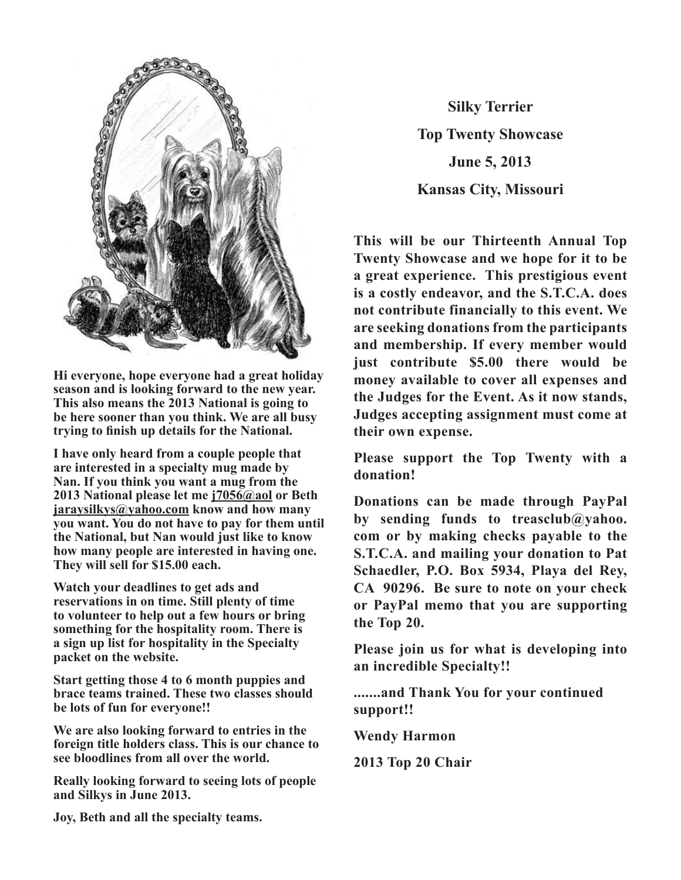

**Hi everyone, hope everyone had a great holiday**  season and is looking forward to the new year. **This also means the 2013 National is going to** be here sooner than you think. We are all busy trying to finish up details for the National.

**I have only heard from a couple people that**  are interested in a specialty mug made by Nan. If you think you want a mug from the **2013 National please let me j7056@aol or Beth please let me j7056@aol or Beth jaraysilkys@yahoo.com know and how many jaraysilkys@yahoo.com know and how many you you want. You do not have to pay for them until want. You do not have to pay for them until the the National, but Nan would just like to know National, but Nan would just like to know how**  how many people are interested in having one. **They will sell for \$15.00 each. sell for \$15.00 each.**  have only heard from a couple people tha W<sub>w</sub> whisted to get a *word* then

Watch your deadlines to get ads and reservations in on time. Still plenty of time to volunteer to help out a few hours or bring **something for the hospitality room. There is a** sign up list for hospitality in the Specialty **a packet on the website.** orgu up not for *nosphanty* in the opeeraty

Start getting those 4 to 6 month puppies and **brace teams trained. These two classes should be lots of fun for everyone!! Really looking forward to seeing lots of people and** 

We are also looking forward to entries in the foreign title holders class. This is our chance to **see bloodlines from all over the world.** 

**Really looking forward to seeing lots of people and Silkys in June 2013.** 

**Silky Terrier Top Twenty Showcase June 5, 2013 Kansas City, Missouri** 

**This will be our Thirteenth Annual Top Twenty Showcase and we hope for it to be** a great experience. This prestigious event is a costly endeavor, and the S.T.C.A. does **not contribute financially to this event. We** are seeking donations from the participants and membership. If every member would just contribute \$5.00 there would be money available to cover all expenses and the Judges for the Event. As it now stands, **Judges accepting assignment must come at** their own expense. **example 3 end the St.C.A. does not a experiment in the** *i***-contract for the** *i***-contract** *i***-contract** *i***-contract** *i***-contract** *i***-contract** *i***-contract** *i***-contract** *i***-contract** *i***-contract** *i***-contract** *i***-contract** *i***-contract** *i***-contract** *i***-contract** 

Please support the Top Twenty with a **donation!** 

**Donations can be made through PayPal** by sending funds to treasclub@yahoo. com or by making checks payable to the **S.T.C.A. and mailing your donation to Pat** Schaedler, P.O. Box 5934, Playa del Rey, CA 90296. Be sure to note on your check or PayPal memo that you are supporting **the Top 20.**  luons can be made thro  $\mathbf{v}_P$   $\mathbf{v}_3$ 

Please join us for what is developing into  $an$  incredible Specialty!!

**.......and Thank You for your continued 2013 Top 20 Chair support!!**

**Wendy Harmon**

**2013 Top 20 Chair**

**Joy, Beth and all the specialty teams.**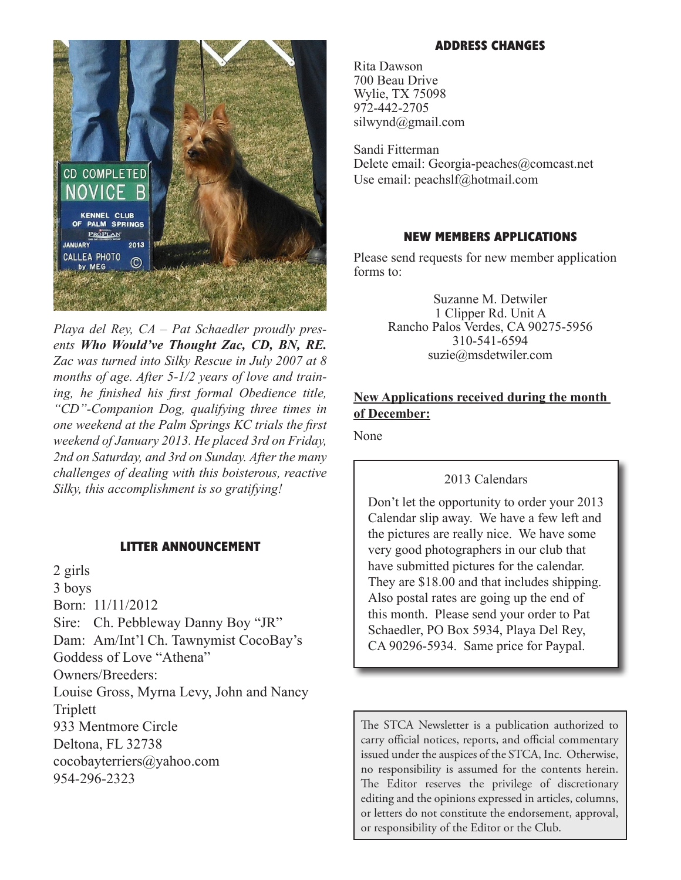

*Playa del Rey, CA – Pat Schaedler proudly presents Who Would've Thought Zac, CD, BN, RE. Zac was turned into Silky Rescue in July 2007 at 8 months of age. After 5-1/2 years of love and training, he finished his first formal Obedience title, "CD"-Companion Dog, qualifying three times in one weekend at the Palm Springs KC trials the first weekend of January 2013. He placed 3rd on Friday, 2nd on Saturday, and 3rd on Sunday. After the many challenges of dealing with this boisterous, reactive Silky, this accomplishment is so gratifying!*

#### **LITTER ANNOUNCEMENT**

2 girls 3 boys Born: 11/11/2012 Sire: Ch. Pebbleway Danny Boy "JR" Dam: Am/Int'l Ch. Tawnymist CocoBay's Goddess of Love "Athena" Owners/Breeders: Louise Gross, Myrna Levy, John and Nancy Triplett 933 Mentmore Circle Deltona, FL 32738 cocobayterriers@yahoo.com 954-296-2323

#### **ADDRESS CHANGES**

Rita Dawson 700 Beau Drive Wylie, TX 75098 972-442-2705 silwynd@gmail.com

Sandi Fitterman Delete email: Georgia-peaches@comcast.net Use email: peachslf@hotmail.com

#### **NEW MEMBERS APPLICATIONS**

Please send requests for new member application forms to:

> Suzanne M. Detwiler 1 Clipper Rd. Unit A Rancho Palos Verdes, CA 90275-5956 310-541-6594 suzie@msdetwiler.com

## **New Applications received during the month of December:**

None

## 2013 Calendars

Don't let the opportunity to order your 2013 Calendar slip away. We have a few left and the pictures are really nice. We have some very good photographers in our club that have submitted pictures for the calendar. They are \$18.00 and that includes shipping. Also postal rates are going up the end of this month. Please send your order to Pat Schaedler, PO Box 5934, Playa Del Rey, CA 90296-5934. Same price for Paypal.

The STCA Newsletter is a publication authorized to carry official notices, reports, and official commentary issued under the auspices of the STCA, Inc. Otherwise, no responsibility is assumed for the contents herein. The Editor reserves the privilege of discretionary editing and the opinions expressed in articles, columns, or letters do not constitute the endorsement, approval, or responsibility of the Editor or the Club.